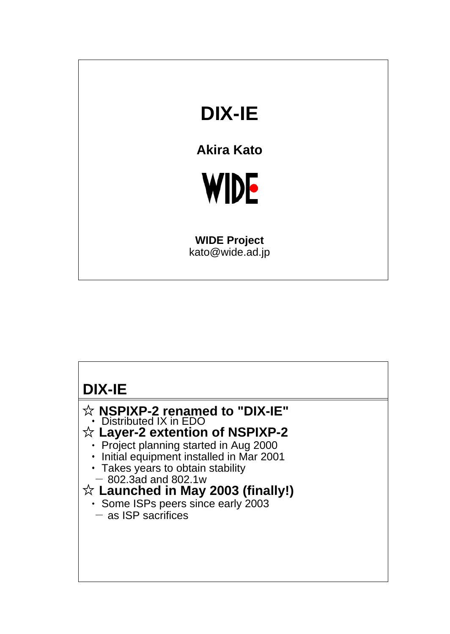## **DIX-IE**

**Akira Kato**



**WIDE Project** kato@wide.ad.jp

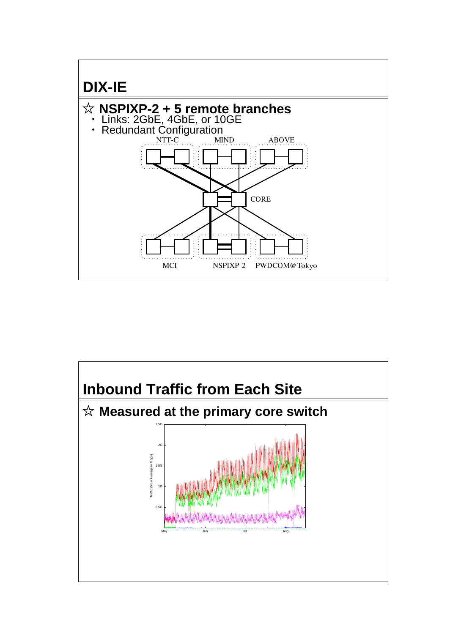

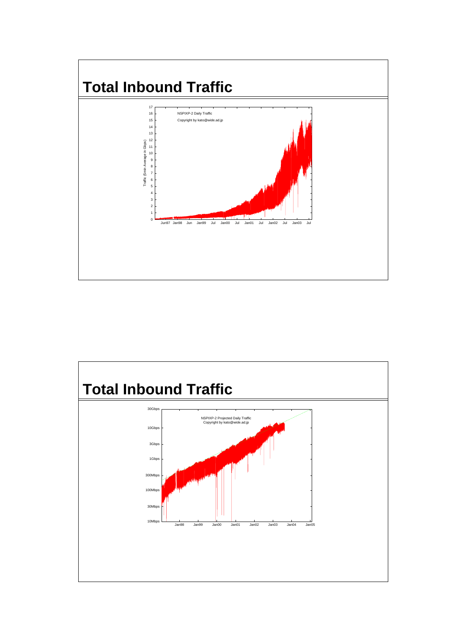